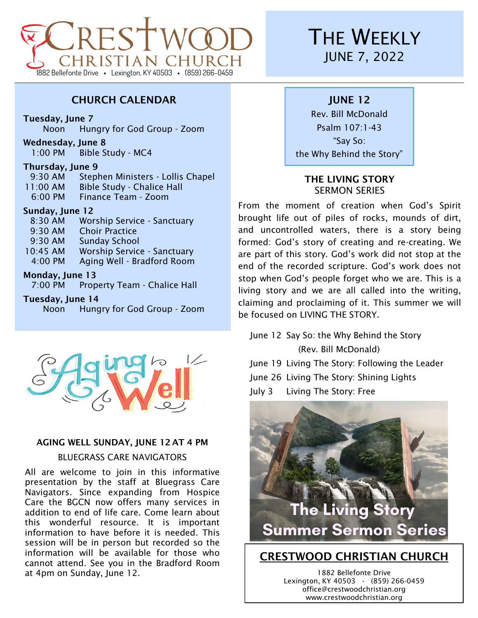

## CHURCH CALENDAR

Tuesday, June 7

Noon Hungry for God Group - Zoom

Wednesday, June 8

1:00 PM Bible Study - MC4

#### Thursday, June 9

| 11:00 AM            | <b>Bible Study - Chalice Hall</b> |
|---------------------|-----------------------------------|
| $6:00 \, \text{PM}$ | Finance Team - Zoom               |
| Sunday, June 12     |                                   |

| 8:30 AM  | <b>Worship Service - Sanctuary</b> |
|----------|------------------------------------|
| 9:30 AM  | <b>Choir Practice</b>              |
| 9:30 AM  | <b>Sunday School</b>               |
| 10:45 AM | <b>Worship Service - Sanctuary</b> |
| 4:00 PM  | Aging Well - Bradford Room         |
|          |                                    |

### Monday, June 13

7:00 PM Property Team - Chalice Hall

#### Tuesday, June 14

Noon Hungry for God Group - Zoom



### AGING WELL SUNDAY, JUNE 12 AT 4 PM

#### BLUEGRASS CARE NAVIGATORS

All are welcome to join in this informative presentation by the staff at Bluegrass Care Navigators. Since expanding from Hospice Care the BGCN now offers many services in addition to end of life care. Come learn about this wonderful resource. It is important information to have before it is needed. This session will be in person but recorded so the information will be available for those who cannot attend. See you in the Bradford Room at 4pm on Sunday, June 12.

# **THE WEEKLY** JUNE 7, 2022

## JUNE 12

Rev. Bill McDonald Psalm 107:1-43 "Say So: the Why Behind the Story"

### THE LIVING STORY SERMON SERIES

From the moment of creation when God's Spirit brought life out of piles of rocks, mounds of dirt, and uncontrolled waters, there is a story being formed: God's story of creating and re-creating. We are part of this story. God's work did not stop at the end of the recorded scripture. God's work does not stop when God's people forget who we are. This is a living story and we are all called into the writing, claiming and proclaiming of it. This summer we will be focused on LIVING THE STORY.

June 12 Say So: the Why Behind the Story (Rev. Bill McDonald)

June 19 Living The Story: Following the Leader

June 26 Living The Story: Shining Lights

July 3 Living The Story: Free



1882 Bellefonte Drive Lexington, KY 40503 **·** (859) 266-0459 office@crestwoodchristian.org www.crestwoodchristian.org